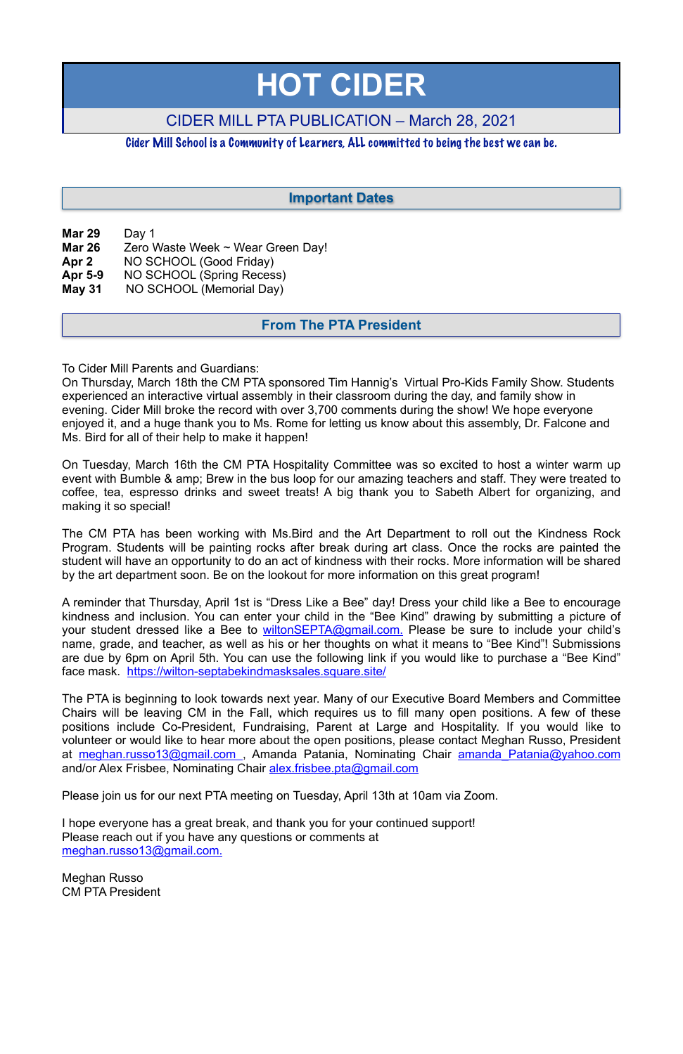| <b>Mar 29</b> | Day 1                             |
|---------------|-----------------------------------|
| <b>Mar 26</b> | Zero Waste Week ~ Wear Green Day! |
| Apr 2         | NO SCHOOL (Good Friday)           |
| Apr 5-9       | NO SCHOOL (Spring Recess)         |
| <b>May 31</b> | NO SCHOOL (Memorial Day)          |
|               |                                   |

To Cider Mill Parents and Guardians:

On Thursday, March 18th the CM PTA sponsored Tim Hannig's Virtual Pro-Kids Family Show. Students experienced an interactive virtual assembly in their classroom during the day, and family show in evening. Cider Mill broke the record with over 3,700 comments during the show! We hope everyone enjoyed it, and a huge thank you to Ms. Rome for letting us know about this assembly, Dr. Falcone and Ms. Bird for all of their help to make it happen!

On Tuesday, March 16th the CM PTA Hospitality Committee was so excited to host a winter warm up event with Bumble & amp; Brew in the bus loop for our amazing teachers and staff. They were treated to coffee, tea, espresso drinks and sweet treats! A big thank you to Sabeth Albert for organizing, and making it so special!

The PTA is beginning to look towards next year. Many of our Executive Board Members and Committee Chairs will be leaving CM in the Fall, which requires us to fill many open positions. A few of these positions include Co-President, Fundraising, Parent at Large and Hospitality. If you would like to volunteer or would like to hear more about the open positions, please contact Meghan Russo, President at meghan.russo13@gmail.com, Amanda Patania, Nominating Chair amanda Patania@yahoo.com and/or Alex Frisbee, Nominating Chair [alex.frisbee.pta@gmail.com](mailto:alex.frisbee.pta@gmail.com)

The CM PTA has been working with Ms.Bird and the Art Department to roll out the Kindness Rock Program. Students will be painting rocks after break during art class. Once the rocks are painted the student will have an opportunity to do an act of kindness with their rocks. More information will be shared by the art department soon. Be on the lookout for more information on this great program!

A reminder that Thursday, April 1st is "Dress Like a Bee" day! Dress your child like a Bee to encourage kindness and inclusion. You can enter your child in the "Bee Kind" drawing by submitting a picture of your student dressed like a Bee to wiltonSEPTA@gmail.com. Please be sure to include your child's name, grade, and teacher, as well as his or her thoughts on what it means to "Bee Kind"! Submissions are due by 6pm on April 5th. You can use the following link if you would like to purchase a "Bee Kind" face mask. <https://wilton-septabekindmasksales.square.site/>

Please join us for our next PTA meeting on Tuesday, April 13th at 10am via Zoom.

I hope everyone has a great break, and thank you for your continued support! Please reach out if you have any questions or comments at meghan.russo13@gmail.com.

Meghan Russo CM PTA President

# **HOT CIDER**

## CIDER MILL PTA PUBLICATION – March 28, 2021

### Cider Mill School is a Community of Learners, ALL committed to being the best we can be.

#### **From The PTA President**

## **Important Dates**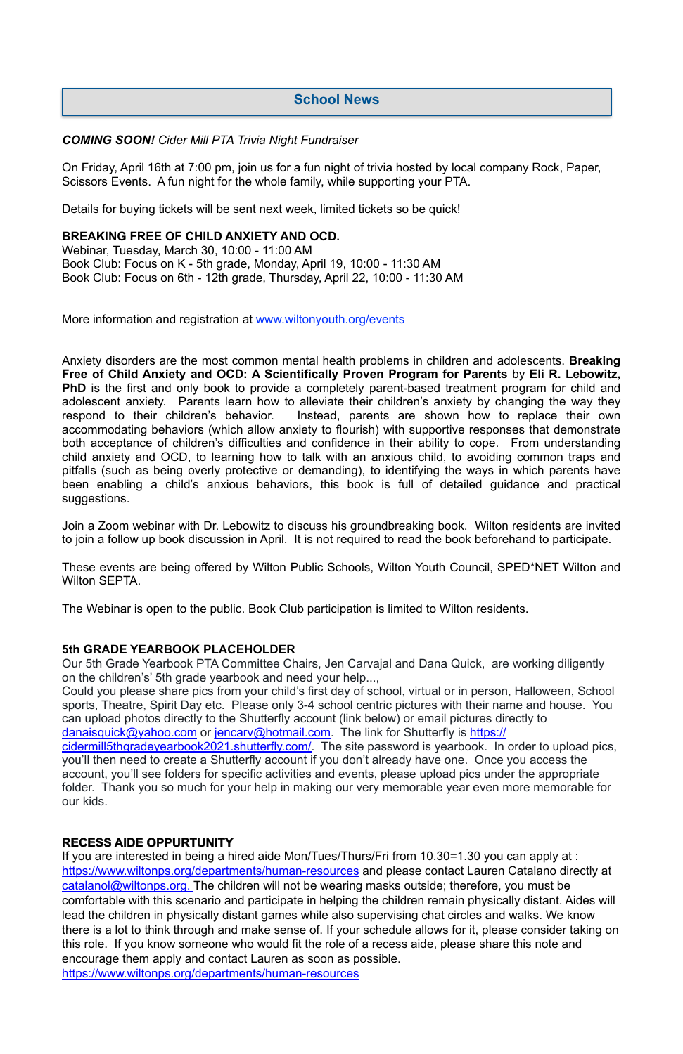#### *COMING SOON! Cider Mill PTA Trivia Night Fundraiser*

On Friday, April 16th at 7:00 pm, join us for a fun night of trivia hosted by local company Rock, Paper, Scissors Events. A fun night for the whole family, while supporting your PTA.

Details for buying tickets will be sent next week, limited tickets so be quick!

#### **BREAKING FREE OF CHILD ANXIETY AND OCD.**

Webinar, Tuesday, March 30, 10:00 - 11:00 AM Book Club: Focus on K - 5th grade, Monday, April 19, 10:00 - 11:30 AM Book Club: Focus on 6th - 12th grade, Thursday, April 22, 10:00 - 11:30 AM

More information and registration at [www.wiltonyouth.org/events](http://www.wiltonyouth.org/events)

Anxiety disorders are the most common mental health problems in children and adolescents. **Breaking Free of Child Anxiety and OCD: A Scientifically Proven Program for Parents** by **Eli R. Lebowitz, PhD** is the first and only book to provide a completely parent-based treatment program for child and adolescent anxiety. Parents learn how to alleviate their children's anxiety by changing the way they respond to their children's behavior. Instead, parents are shown how to replace their own accommodating behaviors (which allow anxiety to flourish) with supportive responses that demonstrate both acceptance of children's difficulties and confidence in their ability to cope. From understanding child anxiety and OCD, to learning how to talk with an anxious child, to avoiding common traps and pitfalls (such as being overly protective or demanding), to identifying the ways in which parents have been enabling a child's anxious behaviors, this book is full of detailed guidance and practical suggestions.

Join a Zoom webinar with Dr. Lebowitz to discuss his groundbreaking book. Wilton residents are invited to join a follow up book discussion in April. It is not required to read the book beforehand to participate.

These events are being offered by Wilton Public Schools, Wilton Youth Council, SPED\*NET Wilton and Wilton SEPTA.

The Webinar is open to the public. Book Club participation is limited to Wilton residents.

#### **5th GRADE YEARBOOK PLACEHOLDER**

Our 5th Grade Yearbook PTA Committee Chairs, Jen Carvajal and Dana Quick, are working diligently on the children's' 5th grade yearbook and need your help...,

Could you please share pics from your child's first day of school, virtual or in person, Halloween, School sports, Theatre, Spirit Day etc. Please only 3-4 school centric pictures with their name and house. You can upload photos directly to the Shutterfly account (link below) or email pictures directly to [danaisquick@yahoo.com](mailto:danaisquick@yahoo.com) or [jencarv@hotmail.com.](mailto:jencarv@hotmail.com) The link for Shutterfly is [https://](https://cidermill5thgradeyearbook2021.shutterfly.com/) [cidermill5thgradeyearbook2021.shutterfly.com/](https://cidermill5thgradeyearbook2021.shutterfly.com/). The site password is yearbook. In order to upload pics,

you'll then need to create a Shutterfly account if you don't already have one. Once you access the account, you'll see folders for specific activities and events, please upload pics under the appropriate folder. Thank you so much for your help in making our very memorable year even more memorable for our kids.

## **RECESS AIDE OPPURTUNITY**

If you are interested in being a hired aide Mon/Tues/Thurs/Fri from 10.30=1.30 you can apply at : [https://www.wiltonps.org/departments/human-resources](https://www.wiltonps.org/departments/human-resources?fbclid=IwAR3TUVxBrbxg-pc-qi8vNYs1B7cVNLy0eo0eWHb_Ec4rm5JfvXLo5GGe2Fw) and please contact Lauren Catalano directly at [catalanol@wiltonps.org.](mailto:catalanol@wiltonps.org) The children will not be wearing masks outside; therefore, you must be comfortable with this scenario and participate in helping the children remain physically distant. Aides will lead the children in physically distant games while also supervising chat circles and walks. We know there is a lot to think through and make sense of. If your schedule allows for it, please consider taking on this role. If you know someone who would fit the role of a recess aide, please share this note and encourage them apply and contact Lauren as soon as possible.

[https://www.wiltonps.org/departments/human-resources](https://l.facebook.com/l.php?u=https%3A%2F%2Fwww.wiltonps.org%2Fdepartments%2Fhuman-resources%3Ffbclid%3DIwAR2A4FCNJ2PRz6saqACZxGQewdpueeLs8yA01V7fJf-h4rxef6eBr3va0mQ&h=AT35quouDc-gAkkL_UQZmnM6yuafnMfhRsXSVey1KWxqd-e2cb2LoyUJ2VwWnQTEbY3ydh0AehTco63atFeeYRDqaAEjKZALXaQWsjpzoxjEVgeZXuhaEeQvwLm9hFsBVg&__tn__=-UK-R&c%5B0%5D=AT0RJcBQtfzwnFAYG4OyjJLHDj5Xyg0m6ppVhAlM-uw6hp2WgexbkZlp8xaNC1zm391-PoLqVwu_j8QX5vFV0bL5BOnqnI8rQdoCjG7PAyX4mdjKXUjjyjBxJoy9lfKU2doW8JBqcQdUdp5UxjY2qEZANUroc9XCFxLgZopfCMfHMCHSySNYkY8jJU89yACoTalNR99W43fLeV2QLg)

## **School News**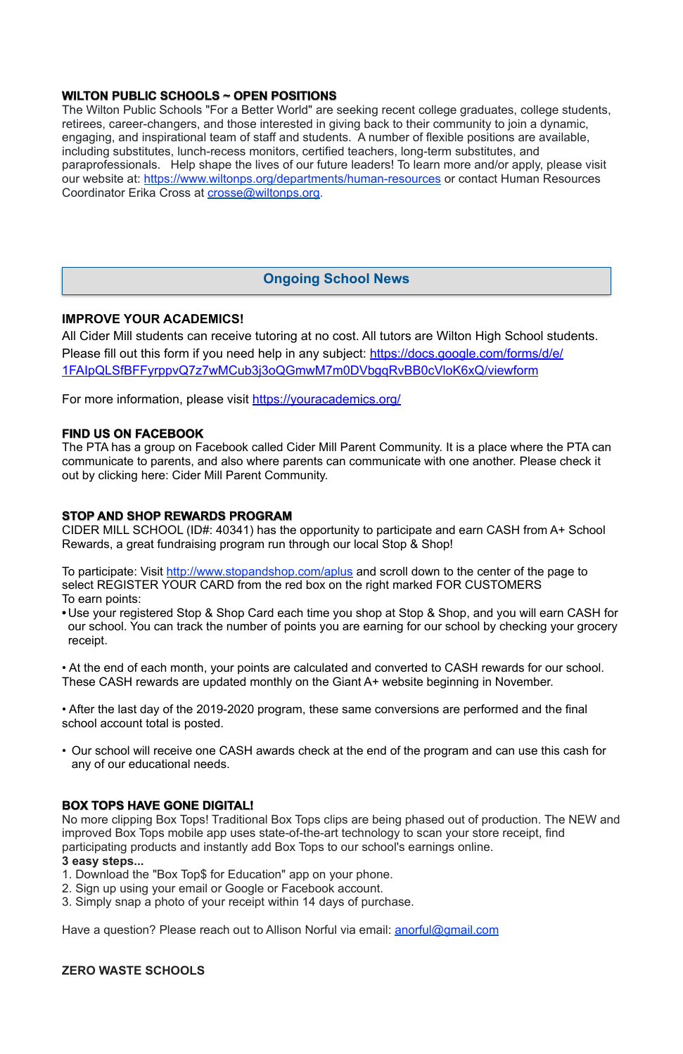## **WILTON PUBLIC SCHOOLS ~ OPEN POSITIONS**

The Wilton Public Schools "For a Better World" are seeking recent college graduates, college students, retirees, career-changers, and those interested in giving back to their community to join a dynamic, engaging, and inspirational team of staff and students. A number of flexible positions are available, including substitutes, lunch-recess monitors, certified teachers, long-term substitutes, and paraprofessionals. Help shape the lives of our future leaders! To learn more and/or apply, please visit our website at: <https://www.wiltonps.org/departments/human-resources> or contact Human Resources Coordinator Erika Cross at [crosse@wiltonps.org.](mailto:crosse@wiltonps.org)

#### **IMPROVE YOUR ACADEMICS!**

All Cider Mill students can receive tutoring at no cost. All tutors are Wilton High School students. Please fill out this form if you need help in any subject: [https://docs.google.com/forms/d/e/](https://docs.google.com/forms/d/e/1FAIpQLSfBFFyrppvQ7z7wMCub3j3oQGmwM7m0DVbgqRvBB0cVloK6xQ/viewform) [1FAIpQLSfBFFyrppvQ7z7wMCub3j3oQGmwM7m0DVbgqRvBB0cVloK6xQ/viewform](https://docs.google.com/forms/d/e/1FAIpQLSfBFFyrppvQ7z7wMCub3j3oQGmwM7m0DVbgqRvBB0cVloK6xQ/viewform)

For more information, please visit <https://youracademics.org/>

To participate: Visit<http://www.stopandshop.com/aplus> and scroll down to the center of the page to select REGISTER YOUR CARD from the red box on the right marked FOR CUSTOMERS To earn points:

#### **FIND US ON FACEBOOK**

The PTA has a group on Facebook called Cider Mill Parent Community. It is a place where the PTA can communicate to parents, and also where parents can communicate with one another. Please check it out by clicking here: [Cider Mill Parent Community.](https://www.facebook.com/groups/1168962513117647/)

#### **STOP AND SHOP REWARDS PROGRAM**

CIDER MILL SCHOOL (ID#: 40341) has the opportunity to participate and earn CASH from A+ School Rewards, a great fundraising program run through our local Stop & Shop!

**•** Use your registered Stop & Shop Card each time you shop at Stop & Shop, and you will earn CASH for our school. You can track the number of points you are earning for our school by checking your grocery receipt.

• At the end of each month, your points are calculated and converted to CASH rewards for our school. These CASH rewards are updated monthly on the Giant A+ website beginning in November.

• After the last day of the 2019-2020 program, these same conversions are performed and the final school account total is posted.

• Our school will receive one CASH awards check at the end of the program and can use this cash for any of our educational needs.

## **BOX TOPS HAVE GONE DIGITAL!**

No more clipping Box Tops! Traditional Box Tops clips are being phased out of production. The NEW and improved Box Tops mobile app uses state-of-the-art technology to scan your store receipt, find participating products and instantly add Box Tops to our school's earnings online. **3 easy steps...** 

- 1. Download the "Box Top\$ for Education" app on your phone.
- 2. Sign up using your email or Google or Facebook account.
- 3. Simply snap a photo of your receipt within 14 days of purchase.

Have a question? Please reach out to Allison Norful via email: [anorful@gmail.com](mailto:anorful@gmail.com)

**ZERO WASTE SCHOOLS** 

## **Ongoing School News**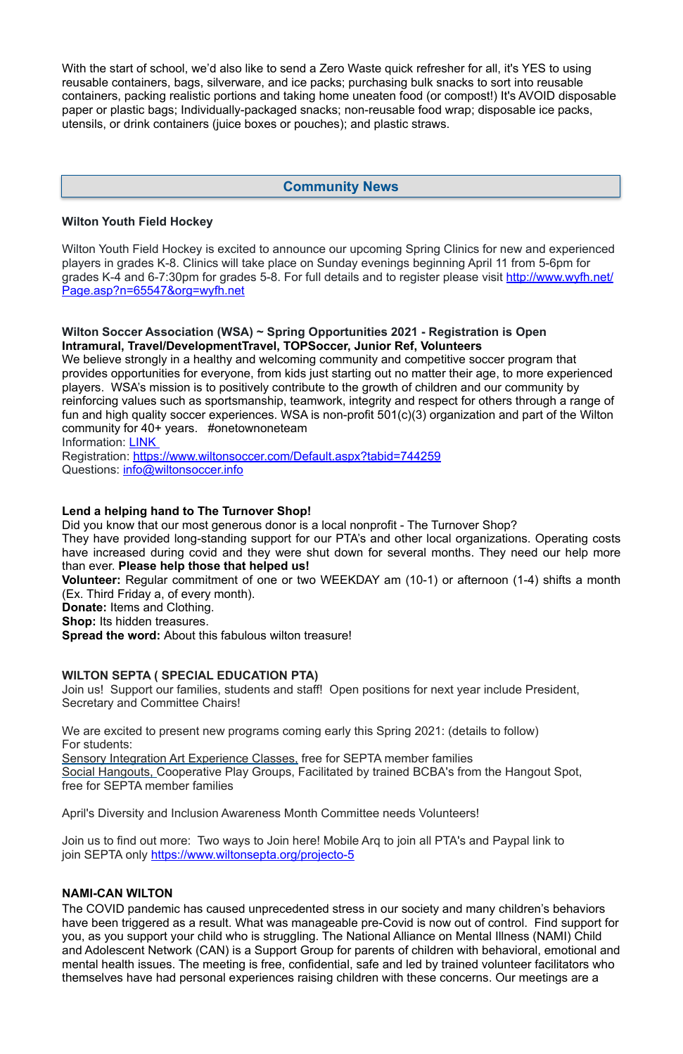With the start of school, we'd also like to send a Zero Waste quick refresher for all, it's YES to using reusable containers, bags, silverware, and ice packs; purchasing bulk snacks to sort into reusable containers, packing realistic portions and taking home uneaten food (or compost!) It's AVOID disposable paper or plastic bags; Individually-packaged snacks; non-reusable food wrap; disposable ice packs, utensils, or drink containers (juice boxes or pouches); and plastic straws.

#### **Wilton Youth Field Hockey**

Wilton Youth Field Hockey is excited to announce our upcoming Spring Clinics for new and experienced players in grades K-8. Clinics will take place on Sunday evenings beginning April 11 from 5-6pm for grades K-4 and 6-7:30pm for grades 5-8. For full details and to register please visit [http://www.wyfh.net/](http://www.wyfh.net/Page.asp?n=65547&org=wyfh.net) [Page.asp?n=65547&org=wyfh.net](http://www.wyfh.net/Page.asp?n=65547&org=wyfh.net) 

We believe strongly in a healthy and welcoming community and competitive soccer program that provides opportunities for everyone, from kids just starting out no matter their age, to more experienced players. WSA's mission is to positively contribute to the growth of children and our community by reinforcing values such as sportsmanship, teamwork, integrity and respect for others through a range of fun and high quality soccer experiences. WSA is non-profit 501(c)(3) organization and part of the Wilton community for 40+ years. #onetownoneteam

Registration:<https://www.wiltonsoccer.com/Default.aspx?tabid=744259> Questions: [info@wiltonsoccer.info](mailto:info@wiltonsoccer.info)

#### **Wilton Soccer Association (WSA) ~ Spring Opportunities 2021 - Registration is Open Intramural, Travel/DevelopmentTravel, TOPSoccer, Junior Ref, Volunteers**

Join us to find out more: Two ways to Join here! Mobile Arq to join all PTA's and Paypal link to join SEPTA only<https://www.wiltonsepta.org/projecto-5>

Information: [LINK](https://docs.google.com/presentation/d/e/2PACX-1vRkkfbPrlARLg5fN6hLplxTqgUlD9FqUVQlC4Yqwf95e1WC0xqEqJkeWrtHsWyTHva45e0jRWfs8nwN/pub?start=false&loop=false&delayms=15000&slide=id.g559324ff2bb166ab_1) 

#### **Lend a helping hand to The Turnover Shop!**

Did you know that our most generous donor is a local nonprofit - The Turnover Shop?

They have provided long-standing support for our PTA's and other local organizations. Operating costs have increased during covid and they were shut down for several months. They need our help more than ever. **Please help those that helped us!** 

**Volunteer:** Regular commitment of one or two WEEKDAY am (10-1) or afternoon (1-4) shifts a month (Ex. Third Friday a, of every month).

**Donate:** Items and Clothing.

**Shop:** Its hidden treasures.

**Spread the word:** About this fabulous wilton treasure!

#### **WILTON SEPTA ( SPECIAL EDUCATION PTA)**

Join us! Support our families, students and staff! Open positions for next year include President, Secretary and Committee Chairs!

We are excited to present new programs coming early this Spring 2021: (details to follow) For students:

Sensory Integration Art Experience Classes, free for SEPTA member families

Social Hangouts, Cooperative Play Groups, Facilitated by trained BCBA's from the Hangout Spot,

free for SEPTA member families

April's Diversity and Inclusion Awareness Month Committee needs Volunteers!

#### **NAMI-CAN WILTON**

The COVID pandemic has caused unprecedented stress in our society and many children's behaviors have been triggered as a result. What was manageable pre-Covid is now out of control. Find support for you, as you support your child who is struggling. The National Alliance on Mental Illness (NAMI) Child and Adolescent Network (CAN) is a Support Group for parents of children with behavioral, emotional and mental health issues. The meeting is free, confidential, safe and led by trained volunteer facilitators who themselves have had personal experiences raising children with these concerns. Our meetings are a

## **Community News**